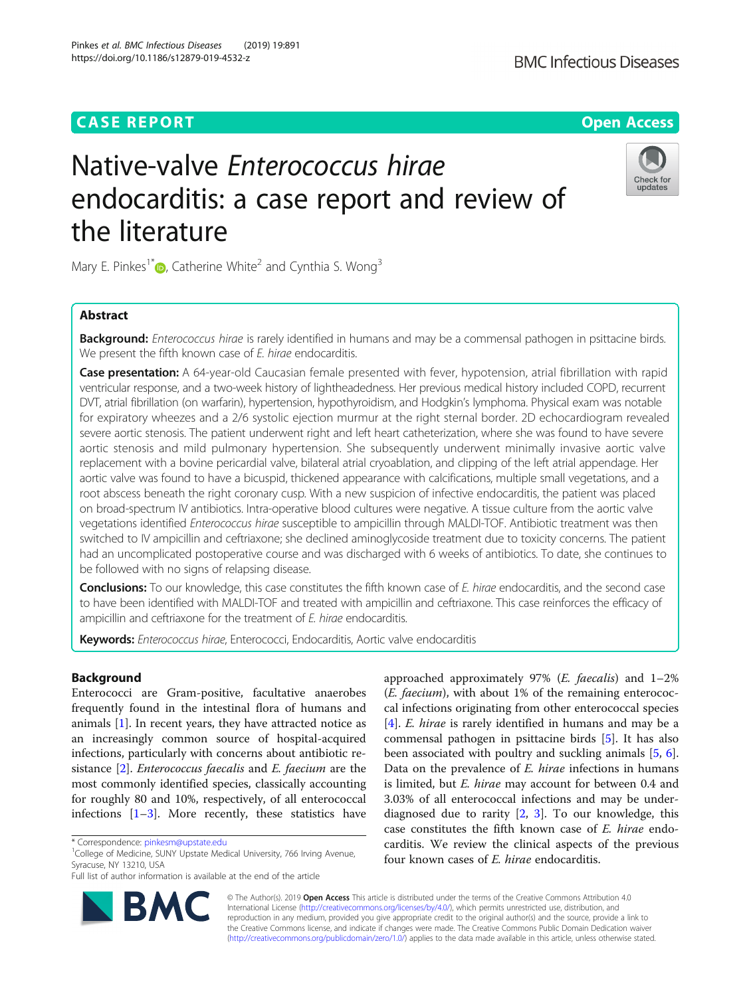## **CASE REPORT CASE ACCESS**

# Native-valve Enterococcus hirae endocarditis: a case report and review of the literature

Mary E. Pinkes<sup>1\*</sup> $\bullet$ [,](http://orcid.org/0000-0002-8913-4114) Catherine White<sup>2</sup> and Cynthia S. Wong<sup>3</sup>

## Abstract

Background: Enterococcus hirae is rarely identified in humans and may be a commensal pathogen in psittacine birds. We present the fifth known case of E. hirae endocarditis.

Case presentation: A 64-year-old Caucasian female presented with fever, hypotension, atrial fibrillation with rapid ventricular response, and a two-week history of lightheadedness. Her previous medical history included COPD, recurrent DVT, atrial fibrillation (on warfarin), hypertension, hypothyroidism, and Hodgkin's lymphoma. Physical exam was notable for expiratory wheezes and a 2/6 systolic ejection murmur at the right sternal border. 2D echocardiogram revealed severe aortic stenosis. The patient underwent right and left heart catheterization, where she was found to have severe aortic stenosis and mild pulmonary hypertension. She subsequently underwent minimally invasive aortic valve replacement with a bovine pericardial valve, bilateral atrial cryoablation, and clipping of the left atrial appendage. Her aortic valve was found to have a bicuspid, thickened appearance with calcifications, multiple small vegetations, and a root abscess beneath the right coronary cusp. With a new suspicion of infective endocarditis, the patient was placed on broad-spectrum IV antibiotics. Intra-operative blood cultures were negative. A tissue culture from the aortic valve vegetations identified Enterococcus hirae susceptible to ampicillin through MALDI-TOF. Antibiotic treatment was then switched to IV ampicillin and ceftriaxone; she declined aminoglycoside treatment due to toxicity concerns. The patient had an uncomplicated postoperative course and was discharged with 6 weeks of antibiotics. To date, she continues to be followed with no signs of relapsing disease.

Conclusions: To our knowledge, this case constitutes the fifth known case of E. hirae endocarditis, and the second case to have been identified with MALDI-TOF and treated with ampicillin and ceftriaxone. This case reinforces the efficacy of ampicillin and ceftriaxone for the treatment of E. hirae endocarditis.

Keywords: Enterococcus hirae, Enterococci, Endocarditis, Aortic valve endocarditis

## Background

Enterococci are Gram-positive, facultative anaerobes frequently found in the intestinal flora of humans and animals [\[1](#page-4-0)]. In recent years, they have attracted notice as an increasingly common source of hospital-acquired infections, particularly with concerns about antibiotic resistance [\[2](#page-4-0)]. Enterococcus faecalis and E. faecium are the most commonly identified species, classically accounting for roughly 80 and 10%, respectively, of all enterococcal infections  $[1-3]$  $[1-3]$  $[1-3]$  $[1-3]$ . More recently, these statistics have

approached approximately 97% (E. faecalis) and 1–2% (E. faecium), with about 1% of the remaining enterococcal infections originating from other enterococcal species [[4\]](#page-4-0). *E. hirae* is rarely identified in humans and may be a commensal pathogen in psittacine birds [\[5](#page-4-0)]. It has also been associated with poultry and suckling animals [\[5,](#page-4-0) [6](#page-4-0)]. Data on the prevalence of E. hirae infections in humans is limited, but E. hirae may account for between 0.4 and 3.03% of all enterococcal infections and may be underdiagnosed due to rarity  $[2, 3]$  $[2, 3]$  $[2, 3]$ . To our knowledge, this case constitutes the fifth known case of E. hirae endocarditis. We review the clinical aspects of the previous four known cases of E. hirae endocarditis.

© The Author(s). 2019 Open Access This article is distributed under the terms of the Creative Commons Attribution 4.0 International License [\(http://creativecommons.org/licenses/by/4.0/](http://creativecommons.org/licenses/by/4.0/)), which permits unrestricted use, distribution, and reproduction in any medium, provided you give appropriate credit to the original author(s) and the source, provide a link to the Creative Commons license, and indicate if changes were made. The Creative Commons Public Domain Dedication waiver [\(http://creativecommons.org/publicdomain/zero/1.0/](http://creativecommons.org/publicdomain/zero/1.0/)) applies to the data made available in this article, unless otherwise stated.





<sup>\*</sup> Correspondence: [pinkesm@upstate.edu](mailto:pinkesm@upstate.edu) <sup>1</sup>

<sup>&</sup>lt;sup>1</sup>College of Medicine, SUNY Upstate Medical University, 766 Irving Avenue, Syracuse, NY 13210, USA

Full list of author information is available at the end of the article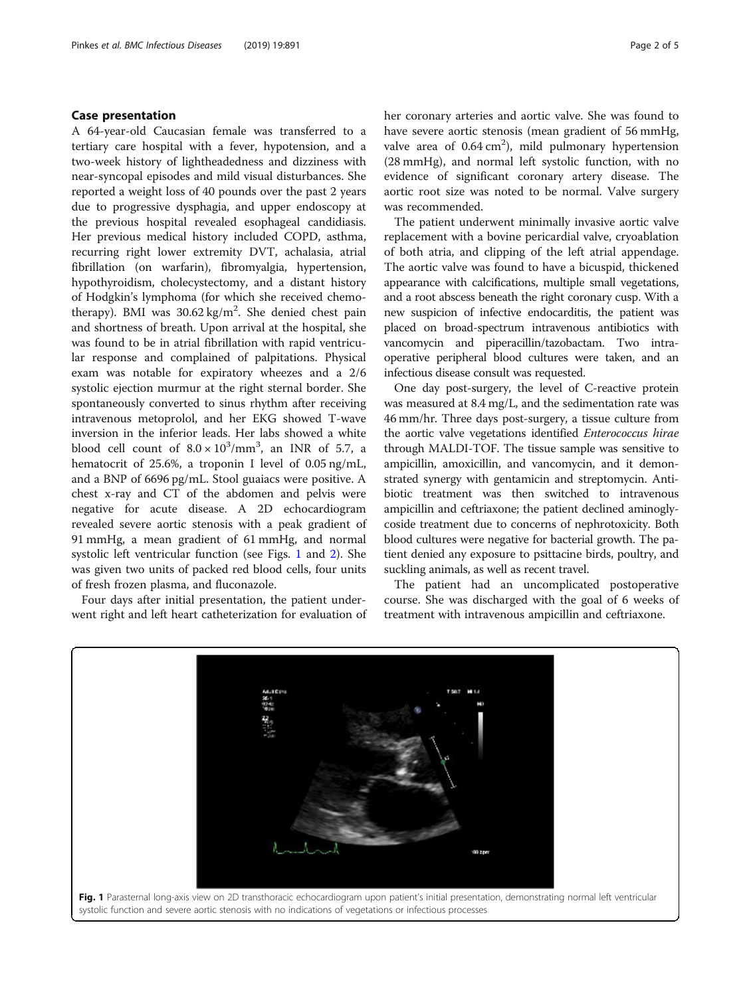## Case presentation

A 64-year-old Caucasian female was transferred to a tertiary care hospital with a fever, hypotension, and a two-week history of lightheadedness and dizziness with near-syncopal episodes and mild visual disturbances. She reported a weight loss of 40 pounds over the past 2 years due to progressive dysphagia, and upper endoscopy at the previous hospital revealed esophageal candidiasis. Her previous medical history included COPD, asthma, recurring right lower extremity DVT, achalasia, atrial fibrillation (on warfarin), fibromyalgia, hypertension, hypothyroidism, cholecystectomy, and a distant history of Hodgkin's lymphoma (for which she received chemotherapy). BMI was 30.62 kg/m<sup>2</sup>. She denied chest pain and shortness of breath. Upon arrival at the hospital, she was found to be in atrial fibrillation with rapid ventricular response and complained of palpitations. Physical exam was notable for expiratory wheezes and a 2/6 systolic ejection murmur at the right sternal border. She spontaneously converted to sinus rhythm after receiving intravenous metoprolol, and her EKG showed T-wave inversion in the inferior leads. Her labs showed a white blood cell count of  $8.0 \times 10^3/\text{mm}^3$ , an INR of 5.7, a hematocrit of 25.6%, a troponin I level of 0.05 ng/mL, and a BNP of 6696 pg/mL. Stool guaiacs were positive. A chest x-ray and CT of the abdomen and pelvis were negative for acute disease. A 2D echocardiogram revealed severe aortic stenosis with a peak gradient of 91 mmHg, a mean gradient of 61 mmHg, and normal systolic left ventricular function (see Figs. 1 and [2\)](#page-2-0). She was given two units of packed red blood cells, four units of fresh frozen plasma, and fluconazole.

Four days after initial presentation, the patient underwent right and left heart catheterization for evaluation of her coronary arteries and aortic valve. She was found to have severe aortic stenosis (mean gradient of 56 mmHg, valve area of  $0.64 \text{ cm}^2$ ), mild pulmonary hypertension (28 mmHg), and normal left systolic function, with no evidence of significant coronary artery disease. The aortic root size was noted to be normal. Valve surgery was recommended.

The patient underwent minimally invasive aortic valve replacement with a bovine pericardial valve, cryoablation of both atria, and clipping of the left atrial appendage. The aortic valve was found to have a bicuspid, thickened appearance with calcifications, multiple small vegetations, and a root abscess beneath the right coronary cusp. With a new suspicion of infective endocarditis, the patient was placed on broad-spectrum intravenous antibiotics with vancomycin and piperacillin/tazobactam. Two intraoperative peripheral blood cultures were taken, and an infectious disease consult was requested.

One day post-surgery, the level of C-reactive protein was measured at 8.4 mg/L, and the sedimentation rate was 46 mm/hr. Three days post-surgery, a tissue culture from the aortic valve vegetations identified Enterococcus hirae through MALDI-TOF. The tissue sample was sensitive to ampicillin, amoxicillin, and vancomycin, and it demonstrated synergy with gentamicin and streptomycin. Antibiotic treatment was then switched to intravenous ampicillin and ceftriaxone; the patient declined aminoglycoside treatment due to concerns of nephrotoxicity. Both blood cultures were negative for bacterial growth. The patient denied any exposure to psittacine birds, poultry, and suckling animals, as well as recent travel.

The patient had an uncomplicated postoperative course. She was discharged with the goal of 6 weeks of treatment with intravenous ampicillin and ceftriaxone.

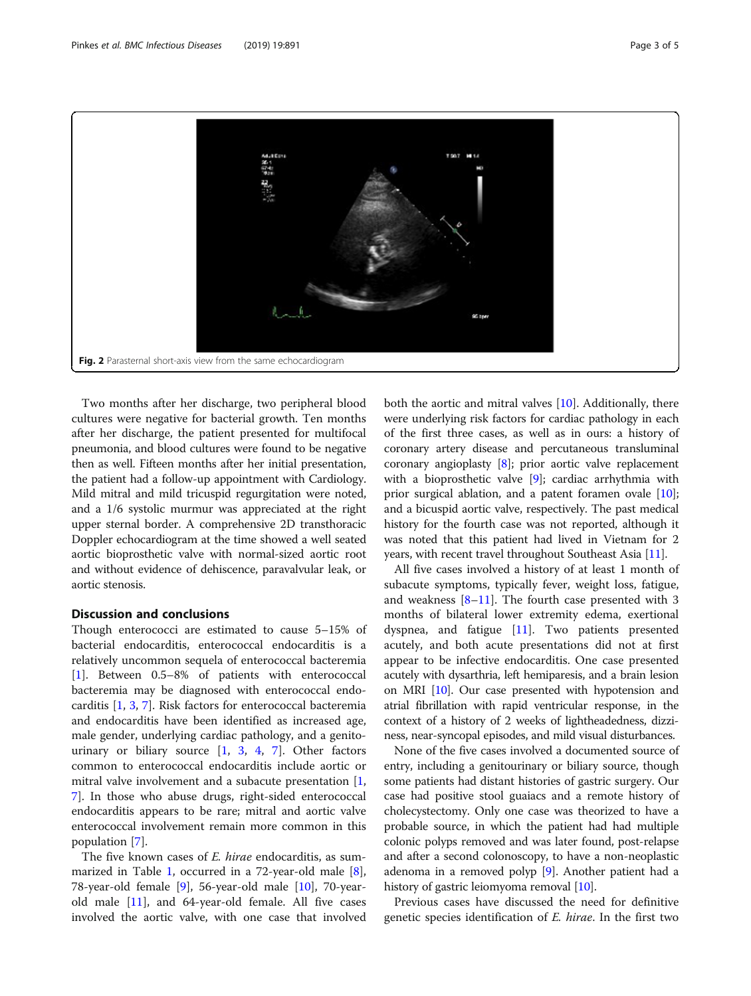<span id="page-2-0"></span>

Two months after her discharge, two peripheral blood cultures were negative for bacterial growth. Ten months after her discharge, the patient presented for multifocal pneumonia, and blood cultures were found to be negative then as well. Fifteen months after her initial presentation, the patient had a follow-up appointment with Cardiology. Mild mitral and mild tricuspid regurgitation were noted, and a 1/6 systolic murmur was appreciated at the right upper sternal border. A comprehensive 2D transthoracic Doppler echocardiogram at the time showed a well seated aortic bioprosthetic valve with normal-sized aortic root and without evidence of dehiscence, paravalvular leak, or aortic stenosis.

## Discussion and conclusions

Though enterococci are estimated to cause 5–15% of bacterial endocarditis, enterococcal endocarditis is a relatively uncommon sequela of enterococcal bacteremia [[1\]](#page-4-0). Between 0.5–8% of patients with enterococcal bacteremia may be diagnosed with enterococcal endocarditis [[1,](#page-4-0) [3,](#page-4-0) [7\]](#page-4-0). Risk factors for enterococcal bacteremia and endocarditis have been identified as increased age, male gender, underlying cardiac pathology, and a genitourinary or biliary source  $[1, 3, 4, 7]$  $[1, 3, 4, 7]$  $[1, 3, 4, 7]$  $[1, 3, 4, 7]$  $[1, 3, 4, 7]$  $[1, 3, 4, 7]$  $[1, 3, 4, 7]$  $[1, 3, 4, 7]$ . Other factors common to enterococcal endocarditis include aortic or mitral valve involvement and a subacute presentation [\[1](#page-4-0), [7\]](#page-4-0). In those who abuse drugs, right-sided enterococcal endocarditis appears to be rare; mitral and aortic valve enterococcal involvement remain more common in this population [[7\]](#page-4-0).

The five known cases of *E. hirae* endocarditis, as summarized in Table [1,](#page-3-0) occurred in a 72-year-old male [\[8](#page-4-0)], 78-year-old female [[9\]](#page-4-0), 56-year-old male [[10\]](#page-4-0), 70-yearold male  $[11]$  $[11]$  $[11]$ , and 64-year-old female. All five cases involved the aortic valve, with one case that involved

both the aortic and mitral valves [\[10](#page-4-0)]. Additionally, there were underlying risk factors for cardiac pathology in each of the first three cases, as well as in ours: a history of coronary artery disease and percutaneous transluminal coronary angioplasty [[8](#page-4-0)]; prior aortic valve replacement with a bioprosthetic valve [[9\]](#page-4-0); cardiac arrhythmia with prior surgical ablation, and a patent foramen ovale [[10](#page-4-0)]; and a bicuspid aortic valve, respectively. The past medical history for the fourth case was not reported, although it was noted that this patient had lived in Vietnam for 2 years, with recent travel throughout Southeast Asia [[11](#page-4-0)].

All five cases involved a history of at least 1 month of subacute symptoms, typically fever, weight loss, fatigue, and weakness [[8](#page-4-0)–[11](#page-4-0)]. The fourth case presented with 3 months of bilateral lower extremity edema, exertional dyspnea, and fatigue  $[11]$  $[11]$ . Two patients presented acutely, and both acute presentations did not at first appear to be infective endocarditis. One case presented acutely with dysarthria, left hemiparesis, and a brain lesion on MRI [\[10\]](#page-4-0). Our case presented with hypotension and atrial fibrillation with rapid ventricular response, in the context of a history of 2 weeks of lightheadedness, dizziness, near-syncopal episodes, and mild visual disturbances.

None of the five cases involved a documented source of entry, including a genitourinary or biliary source, though some patients had distant histories of gastric surgery. Our case had positive stool guaiacs and a remote history of cholecystectomy. Only one case was theorized to have a probable source, in which the patient had had multiple colonic polyps removed and was later found, post-relapse and after a second colonoscopy, to have a non-neoplastic adenoma in a removed polyp [[9\]](#page-4-0). Another patient had a history of gastric leiomyoma removal [[10](#page-4-0)].

Previous cases have discussed the need for definitive genetic species identification of E. hirae. In the first two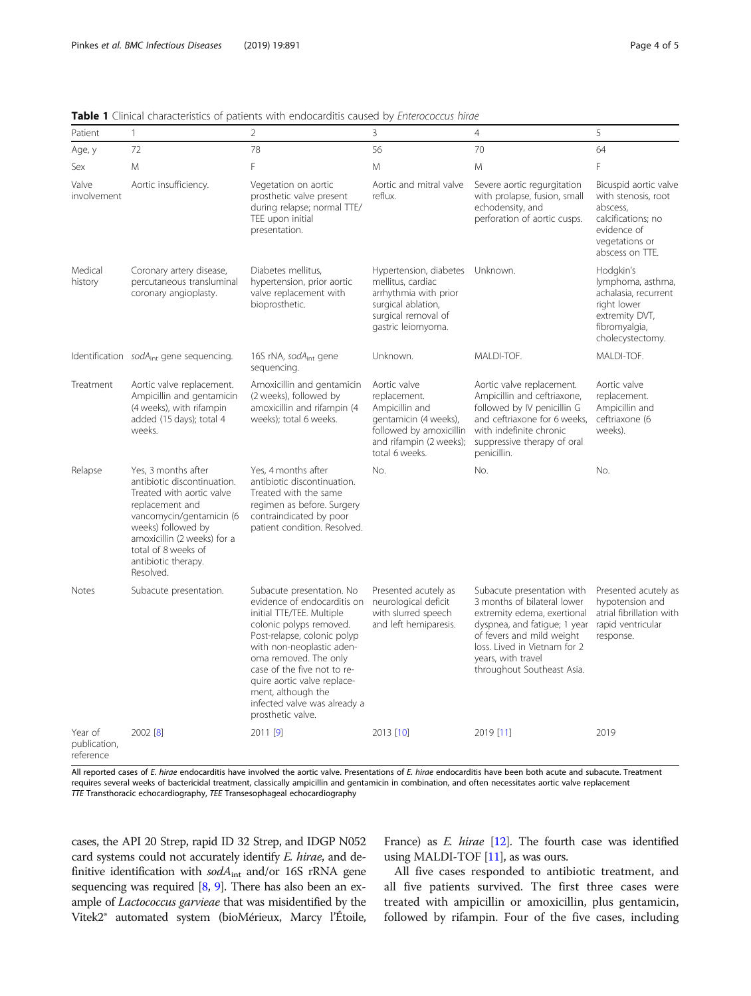| Patient                              | $\mathbf{1}$                                                                                                                                                                                                                                   | $\overline{2}$                                                                                                                                                                                                                                                                                                                                 | 3                                                                                                                                                | $\overline{4}$                                                                                                                                                                                                                            | 5                                                                                                                                  |
|--------------------------------------|------------------------------------------------------------------------------------------------------------------------------------------------------------------------------------------------------------------------------------------------|------------------------------------------------------------------------------------------------------------------------------------------------------------------------------------------------------------------------------------------------------------------------------------------------------------------------------------------------|--------------------------------------------------------------------------------------------------------------------------------------------------|-------------------------------------------------------------------------------------------------------------------------------------------------------------------------------------------------------------------------------------------|------------------------------------------------------------------------------------------------------------------------------------|
| Age, y                               | 72                                                                                                                                                                                                                                             | 78                                                                                                                                                                                                                                                                                                                                             | 56                                                                                                                                               | 70                                                                                                                                                                                                                                        | 64                                                                                                                                 |
| Sex                                  | M                                                                                                                                                                                                                                              | F                                                                                                                                                                                                                                                                                                                                              | M                                                                                                                                                | M                                                                                                                                                                                                                                         | F                                                                                                                                  |
| Valve<br>involvement                 | Aortic insufficiency.                                                                                                                                                                                                                          | Vegetation on aortic<br>prosthetic valve present<br>during relapse; normal TTE/<br>TEE upon initial<br>presentation.                                                                                                                                                                                                                           | Aortic and mitral valve<br>reflux.                                                                                                               | Severe aortic regurgitation<br>with prolapse, fusion, small<br>echodensity, and<br>perforation of aortic cusps.                                                                                                                           | Bicuspid aortic valve<br>with stenosis, root<br>abscess,<br>calcifications; no<br>evidence of<br>vegetations or<br>abscess on TTE. |
| Medical<br>history                   | Coronary artery disease,<br>percutaneous transluminal<br>coronary angioplasty.                                                                                                                                                                 | Diabetes mellitus,<br>hypertension, prior aortic<br>valve replacement with<br>bioprosthetic.                                                                                                                                                                                                                                                   | Hypertension, diabetes Unknown.<br>mellitus, cardiac<br>arrhythmia with prior<br>surgical ablation,<br>surgical removal of<br>gastric leiomyoma. |                                                                                                                                                                                                                                           | Hodgkin's<br>lymphoma, asthma,<br>achalasia, recurrent<br>right lower<br>extremity DVT,<br>fibromyalgia,<br>cholecystectomy.       |
|                                      | Identification $sodAint$ gene sequencing.                                                                                                                                                                                                      | 16S rNA, sodA <sub>int</sub> gene<br>sequencing.                                                                                                                                                                                                                                                                                               | Unknown.                                                                                                                                         | MALDI-TOF.                                                                                                                                                                                                                                | MALDI-TOF.                                                                                                                         |
| Treatment                            | Aortic valve replacement.<br>Ampicillin and gentamicin<br>(4 weeks), with rifampin<br>added (15 days); total 4<br>weeks.                                                                                                                       | Amoxicillin and gentamicin<br>(2 weeks), followed by<br>amoxicillin and rifampin (4<br>weeks); total 6 weeks.                                                                                                                                                                                                                                  | Aortic valve<br>replacement.<br>Ampicillin and<br>gentamicin (4 weeks),<br>followed by amoxicillin<br>and rifampin (2 weeks);<br>total 6 weeks.  | Aortic valve replacement.<br>Ampicillin and ceftriaxone,<br>followed by IV penicillin G<br>and ceftriaxone for 6 weeks,<br>with indefinite chronic<br>suppressive therapy of oral<br>penicillin.                                          | Aortic valve<br>replacement.<br>Ampicillin and<br>ceftriaxone (6<br>weeks).                                                        |
| Relapse                              | Yes, 3 months after<br>antibiotic discontinuation.<br>Treated with aortic valve<br>replacement and<br>vancomycin/gentamicin (6<br>weeks) followed by<br>amoxicillin (2 weeks) for a<br>total of 8 weeks of<br>antibiotic therapy.<br>Resolved. | Yes, 4 months after<br>antibiotic discontinuation.<br>Treated with the same<br>regimen as before. Surgery<br>contraindicated by poor<br>patient condition. Resolved.                                                                                                                                                                           | No.                                                                                                                                              | No.                                                                                                                                                                                                                                       | No.                                                                                                                                |
| <b>Notes</b>                         | Subacute presentation.                                                                                                                                                                                                                         | Subacute presentation. No<br>evidence of endocarditis on<br>initial TTE/TEE. Multiple<br>colonic polyps removed.<br>Post-relapse, colonic polyp<br>with non-neoplastic aden-<br>oma removed. The only<br>case of the five not to re-<br>quire aortic valve replace-<br>ment, although the<br>infected valve was already a<br>prosthetic valve. | Presented acutely as<br>neurological deficit<br>with slurred speech<br>and left hemiparesis.                                                     | Subacute presentation with<br>3 months of bilateral lower<br>extremity edema, exertional<br>dyspnea, and fatigue; 1 year<br>of fevers and mild weight<br>loss. Lived in Vietnam for 2<br>years, with travel<br>throughout Southeast Asia. | Presented acutely as<br>hypotension and<br>atrial fibrillation with<br>rapid ventricular<br>response.                              |
| Year of<br>publication,<br>reference | 2002 [8]                                                                                                                                                                                                                                       | $2011$ [9]                                                                                                                                                                                                                                                                                                                                     | 2013 [10]                                                                                                                                        | 2019 [11]                                                                                                                                                                                                                                 | 2019                                                                                                                               |

<span id="page-3-0"></span>Table 1 Clinical characteristics of patients with endocarditis caused by Enterococcus hirae

All reported cases of E. hirae endocarditis have involved the aortic valve. Presentations of E. hirae endocarditis have been both acute and subacute. Treatment requires several weeks of bactericidal treatment, classically ampicillin and gentamicin in combination, and often necessitates aortic valve replacement TTE Transthoracic echocardiography, TEE Transesophageal echocardiography

cases, the API 20 Strep, rapid ID 32 Strep, and IDGP N052 card systems could not accurately identify E. hirae, and definitive identification with  $sodA<sub>int</sub>$  and/or 16S rRNA gene sequencing was required [\[8,](#page-4-0) [9\]](#page-4-0). There has also been an example of *Lactococcus garvieae* that was misidentified by the Vitek2® automated system (bioMérieux, Marcy l'Étoile, France) as *E. hirae* [\[12](#page-4-0)]. The fourth case was identified using MALDI-TOF [\[11](#page-4-0)], as was ours.

All five cases responded to antibiotic treatment, and all five patients survived. The first three cases were treated with ampicillin or amoxicillin, plus gentamicin, followed by rifampin. Four of the five cases, including